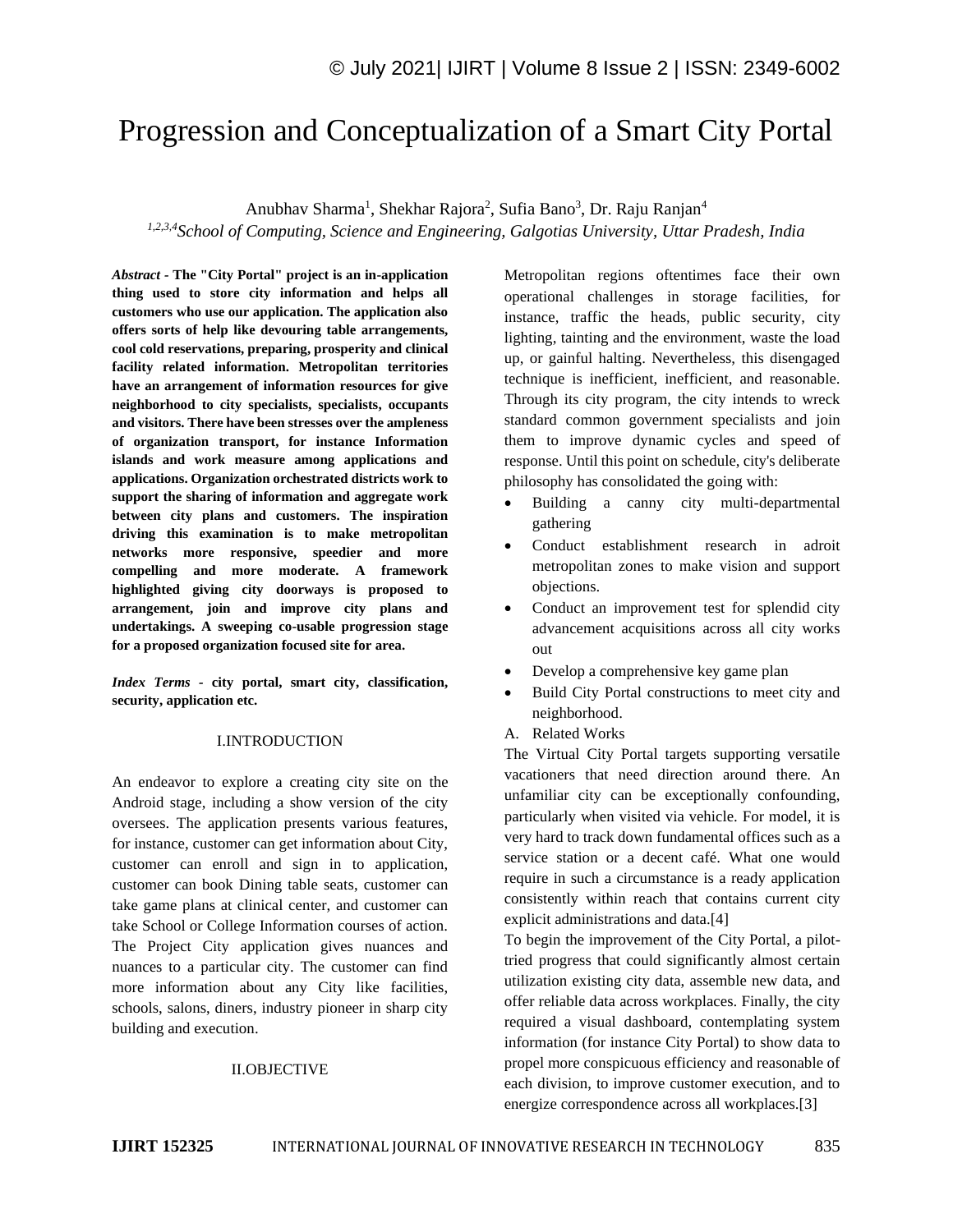# Progression and Conceptualization of a Smart City Portal

Anubhav Sharma<sup>1</sup>, Shekhar Rajora<sup>2</sup>, Sufia Bano<sup>3</sup>, Dr. Raju Ranjan<sup>4</sup>

*1,2,3,4School of Computing, Science and Engineering, Galgotias University, Uttar Pradesh, India*

*Abstract -* **The "City Portal" project is an in-application thing used to store city information and helps all customers who use our application. The application also offers sorts of help like devouring table arrangements, cool cold reservations, preparing, prosperity and clinical facility related information. Metropolitan territories have an arrangement of information resources for give neighborhood to city specialists, specialists, occupants and visitors. There have been stresses over the ampleness of organization transport, for instance Information islands and work measure among applications and applications. Organization orchestrated districts work to support the sharing of information and aggregate work between city plans and customers. The inspiration driving this examination is to make metropolitan networks more responsive, speedier and more compelling and more moderate. A framework highlighted giving city doorways is proposed to arrangement, join and improve city plans and undertakings. A sweeping co-usable progression stage for a proposed organization focused site for area.**

*Index Terms -* **city portal, smart city, classification, security, application etc.**

## I.INTRODUCTION

An endeavor to explore a creating city site on the Android stage, including a show version of the city oversees. The application presents various features, for instance, customer can get information about City, customer can enroll and sign in to application, customer can book Dining table seats, customer can take game plans at clinical center, and customer can take School or College Information courses of action. The Project City application gives nuances and nuances to a particular city. The customer can find more information about any City like facilities, schools, salons, diners, industry pioneer in sharp city building and execution.

#### II.OBJECTIVE

Metropolitan regions oftentimes face their own operational challenges in storage facilities, for instance, traffic the heads, public security, city lighting, tainting and the environment, waste the load up, or gainful halting. Nevertheless, this disengaged technique is inefficient, inefficient, and reasonable. Through its city program, the city intends to wreck standard common government specialists and join them to improve dynamic cycles and speed of response. Until this point on schedule, city's deliberate philosophy has consolidated the going with:

- Building a canny city multi-departmental gathering
- Conduct establishment research in adroit metropolitan zones to make vision and support objections.
- Conduct an improvement test for splendid city advancement acquisitions across all city works out
- Develop a comprehensive key game plan
- Build City Portal constructions to meet city and neighborhood.
- A. Related Works

The Virtual City Portal targets supporting versatile vacationers that need direction around there. An unfamiliar city can be exceptionally confounding, particularly when visited via vehicle. For model, it is very hard to track down fundamental offices such as a service station or a decent café. What one would require in such a circumstance is a ready application consistently within reach that contains current city explicit administrations and data.[4]

To begin the improvement of the City Portal, a pilottried progress that could significantly almost certain utilization existing city data, assemble new data, and offer reliable data across workplaces. Finally, the city required a visual dashboard, contemplating system information (for instance City Portal) to show data to propel more conspicuous efficiency and reasonable of each division, to improve customer execution, and to energize correspondence across all workplaces.[3]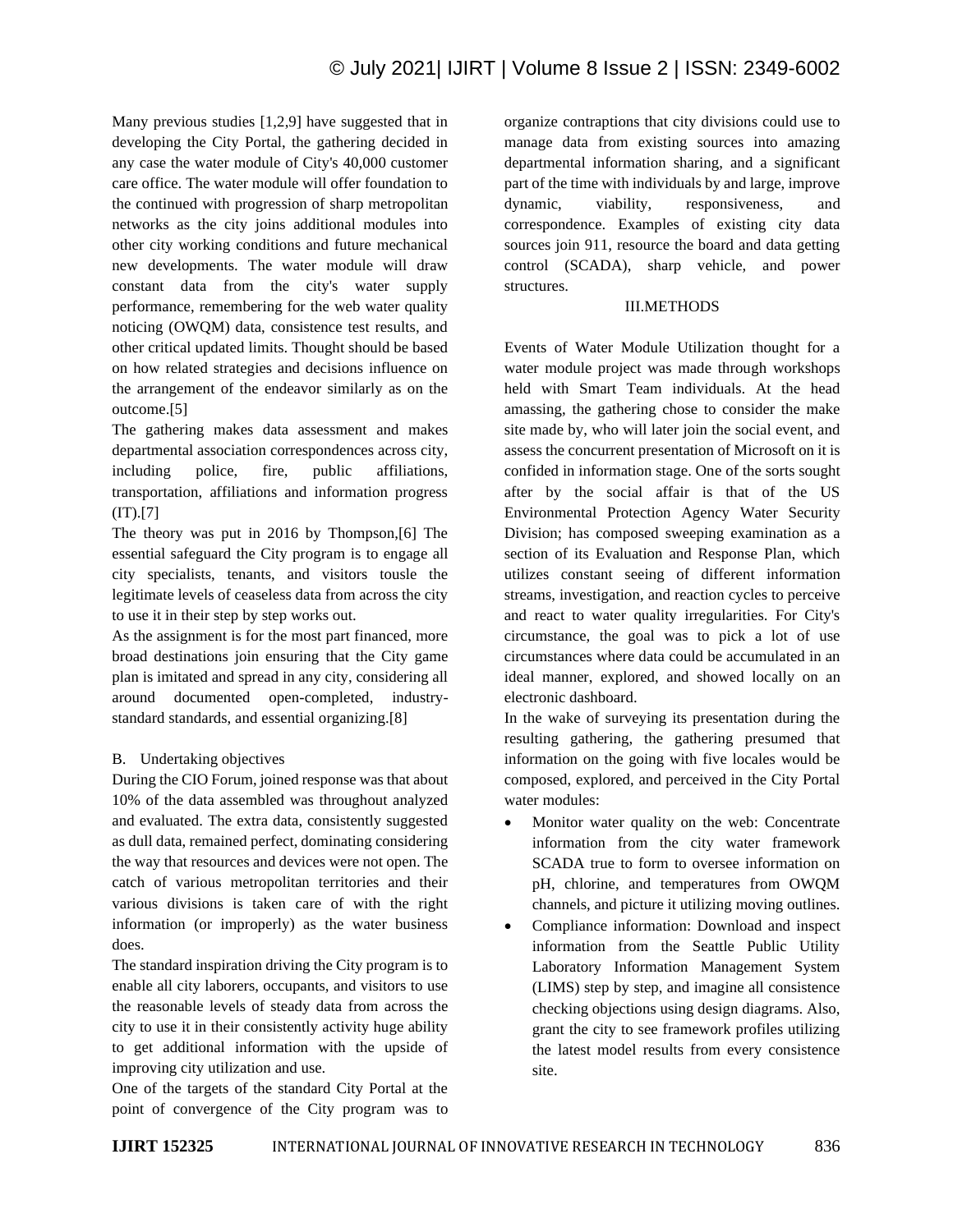Many previous studies [1,2,9] have suggested that in developing the City Portal, the gathering decided in any case the water module of City's 40,000 customer care office. The water module will offer foundation to the continued with progression of sharp metropolitan networks as the city joins additional modules into other city working conditions and future mechanical new developments. The water module will draw constant data from the city's water supply performance, remembering for the web water quality noticing (OWQM) data, consistence test results, and other critical updated limits. Thought should be based on how related strategies and decisions influence on the arrangement of the endeavor similarly as on the outcome.[5]

The gathering makes data assessment and makes departmental association correspondences across city, including police, fire, public affiliations, transportation, affiliations and information progress  $(IT)$ .[7]

The theory was put in 2016 by Thompson,[6] The essential safeguard the City program is to engage all city specialists, tenants, and visitors tousle the legitimate levels of ceaseless data from across the city to use it in their step by step works out.

As the assignment is for the most part financed, more broad destinations join ensuring that the City game plan is imitated and spread in any city, considering all around documented open-completed, industrystandard standards, and essential organizing.[8]

# B. Undertaking objectives

During the CIO Forum, joined response was that about 10% of the data assembled was throughout analyzed and evaluated. The extra data, consistently suggested as dull data, remained perfect, dominating considering the way that resources and devices were not open. The catch of various metropolitan territories and their various divisions is taken care of with the right information (or improperly) as the water business does.

The standard inspiration driving the City program is to enable all city laborers, occupants, and visitors to use the reasonable levels of steady data from across the city to use it in their consistently activity huge ability to get additional information with the upside of improving city utilization and use.

One of the targets of the standard City Portal at the point of convergence of the City program was to organize contraptions that city divisions could use to manage data from existing sources into amazing departmental information sharing, and a significant part of the time with individuals by and large, improve dynamic, viability, responsiveness, and correspondence. Examples of existing city data sources join 911, resource the board and data getting control (SCADA), sharp vehicle, and power structures.

# III.METHODS

Events of Water Module Utilization thought for a water module project was made through workshops held with Smart Team individuals. At the head amassing, the gathering chose to consider the make site made by, who will later join the social event, and assess the concurrent presentation of Microsoft on it is confided in information stage. One of the sorts sought after by the social affair is that of the US Environmental Protection Agency Water Security Division; has composed sweeping examination as a section of its Evaluation and Response Plan, which utilizes constant seeing of different information streams, investigation, and reaction cycles to perceive and react to water quality irregularities. For City's circumstance, the goal was to pick a lot of use circumstances where data could be accumulated in an ideal manner, explored, and showed locally on an electronic dashboard.

In the wake of surveying its presentation during the resulting gathering, the gathering presumed that information on the going with five locales would be composed, explored, and perceived in the City Portal water modules:

- Monitor water quality on the web: Concentrate information from the city water framework SCADA true to form to oversee information on pH, chlorine, and temperatures from OWQM channels, and picture it utilizing moving outlines.
- Compliance information: Download and inspect information from the Seattle Public Utility Laboratory Information Management System (LIMS) step by step, and imagine all consistence checking objections using design diagrams. Also, grant the city to see framework profiles utilizing the latest model results from every consistence site.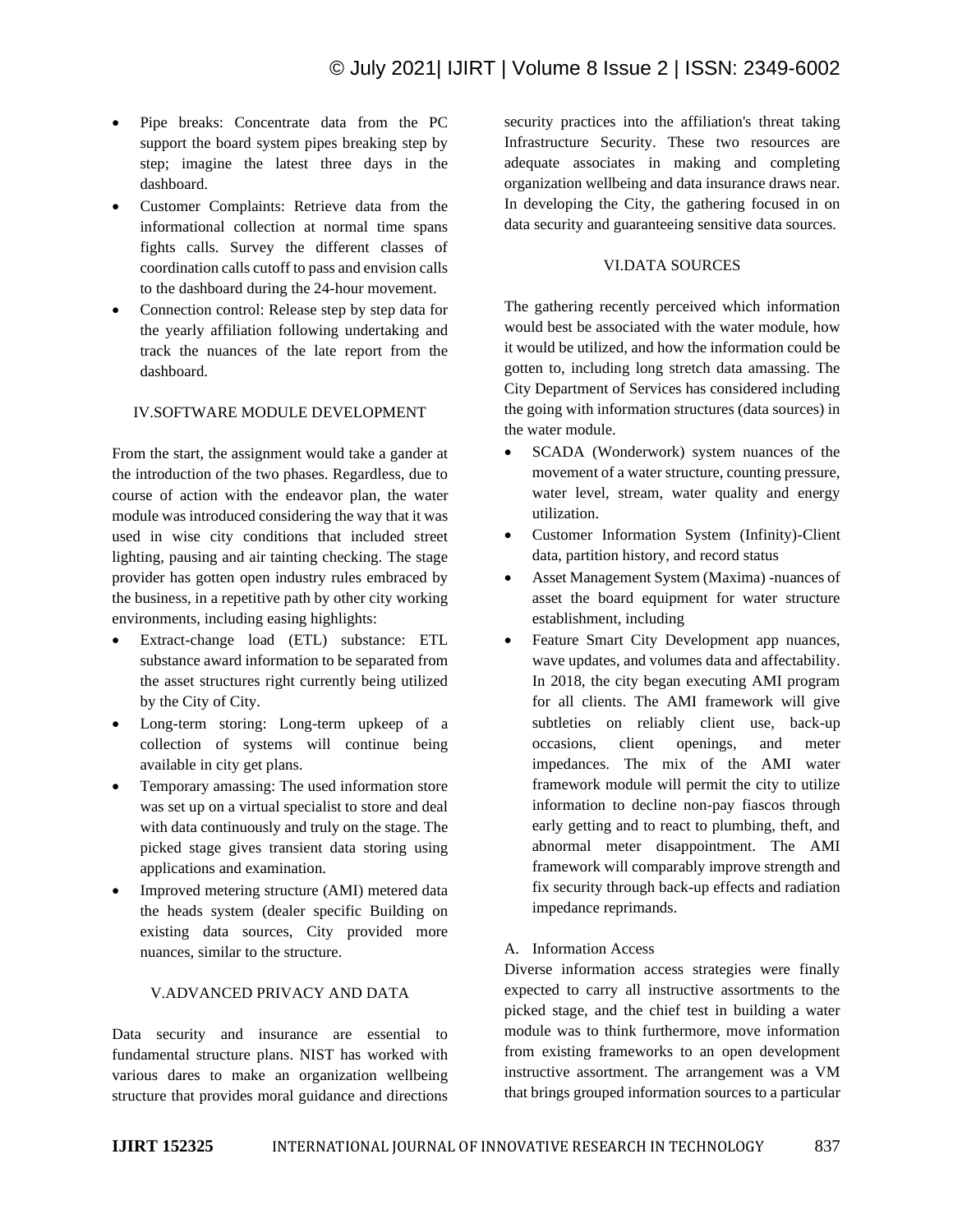- Pipe breaks: Concentrate data from the PC support the board system pipes breaking step by step; imagine the latest three days in the dashboard.
- Customer Complaints: Retrieve data from the informational collection at normal time spans fights calls. Survey the different classes of coordination calls cutoff to pass and envision calls to the dashboard during the 24-hour movement.
- Connection control: Release step by step data for the yearly affiliation following undertaking and track the nuances of the late report from the dashboard.

#### IV.SOFTWARE MODULE DEVELOPMENT

From the start, the assignment would take a gander at the introduction of the two phases. Regardless, due to course of action with the endeavor plan, the water module was introduced considering the way that it was used in wise city conditions that included street lighting, pausing and air tainting checking. The stage provider has gotten open industry rules embraced by the business, in a repetitive path by other city working environments, including easing highlights:

- Extract-change load (ETL) substance: ETL substance award information to be separated from the asset structures right currently being utilized by the City of City.
- Long-term storing: Long-term upkeep of a collection of systems will continue being available in city get plans.
- Temporary amassing: The used information store was set up on a virtual specialist to store and deal with data continuously and truly on the stage. The picked stage gives transient data storing using applications and examination.
- Improved metering structure (AMI) metered data the heads system (dealer specific Building on existing data sources, City provided more nuances, similar to the structure.

## V.ADVANCED PRIVACY AND DATA

Data security and insurance are essential to fundamental structure plans. NIST has worked with various dares to make an organization wellbeing structure that provides moral guidance and directions security practices into the affiliation's threat taking Infrastructure Security. These two resources are adequate associates in making and completing organization wellbeing and data insurance draws near. In developing the City, the gathering focused in on data security and guaranteeing sensitive data sources.

# VI.DATA SOURCES

The gathering recently perceived which information would best be associated with the water module, how it would be utilized, and how the information could be gotten to, including long stretch data amassing. The City Department of Services has considered including the going with information structures (data sources) in the water module.

- SCADA (Wonderwork) system nuances of the movement of a water structure, counting pressure, water level, stream, water quality and energy utilization.
- Customer Information System (Infinity)-Client data, partition history, and record status
- Asset Management System (Maxima) -nuances of asset the board equipment for water structure establishment, including
- Feature Smart City Development app nuances, wave updates, and volumes data and affectability. In 2018, the city began executing AMI program for all clients. The AMI framework will give subtleties on reliably client use, back-up occasions, client openings, and meter impedances. The mix of the AMI water framework module will permit the city to utilize information to decline non-pay fiascos through early getting and to react to plumbing, theft, and abnormal meter disappointment. The AMI framework will comparably improve strength and fix security through back-up effects and radiation impedance reprimands.

# A. Information Access

Diverse information access strategies were finally expected to carry all instructive assortments to the picked stage, and the chief test in building a water module was to think furthermore, move information from existing frameworks to an open development instructive assortment. The arrangement was a VM that brings grouped information sources to a particular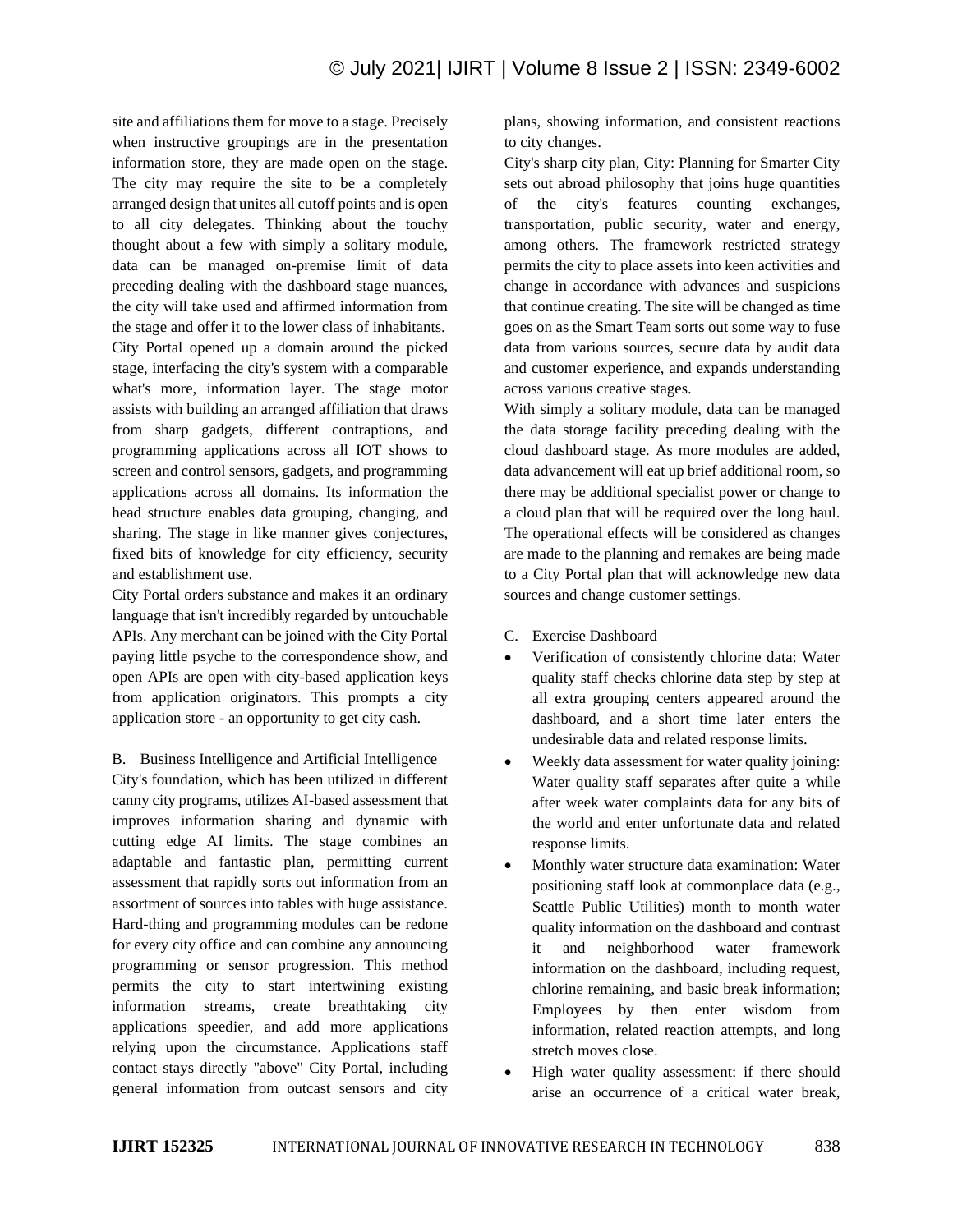site and affiliations them for move to a stage. Precisely when instructive groupings are in the presentation information store, they are made open on the stage. The city may require the site to be a completely arranged design that unites all cutoff points and is open to all city delegates. Thinking about the touchy thought about a few with simply a solitary module, data can be managed on-premise limit of data preceding dealing with the dashboard stage nuances, the city will take used and affirmed information from the stage and offer it to the lower class of inhabitants. City Portal opened up a domain around the picked stage, interfacing the city's system with a comparable what's more, information layer. The stage motor assists with building an arranged affiliation that draws from sharp gadgets, different contraptions, and programming applications across all IOT shows to screen and control sensors, gadgets, and programming applications across all domains. Its information the head structure enables data grouping, changing, and sharing. The stage in like manner gives conjectures, fixed bits of knowledge for city efficiency, security and establishment use.

City Portal orders substance and makes it an ordinary language that isn't incredibly regarded by untouchable APIs. Any merchant can be joined with the City Portal paying little psyche to the correspondence show, and open APIs are open with city-based application keys from application originators. This prompts a city application store - an opportunity to get city cash.

B. Business Intelligence and Artificial Intelligence City's foundation, which has been utilized in different canny city programs, utilizes AI-based assessment that improves information sharing and dynamic with cutting edge AI limits. The stage combines an adaptable and fantastic plan, permitting current assessment that rapidly sorts out information from an assortment of sources into tables with huge assistance. Hard-thing and programming modules can be redone for every city office and can combine any announcing programming or sensor progression. This method permits the city to start intertwining existing information streams, create breathtaking city applications speedier, and add more applications relying upon the circumstance. Applications staff contact stays directly "above" City Portal, including general information from outcast sensors and city

plans, showing information, and consistent reactions to city changes.

City's sharp city plan, City: Planning for Smarter City sets out abroad philosophy that joins huge quantities of the city's features counting exchanges, transportation, public security, water and energy, among others. The framework restricted strategy permits the city to place assets into keen activities and change in accordance with advances and suspicions that continue creating. The site will be changed as time goes on as the Smart Team sorts out some way to fuse data from various sources, secure data by audit data and customer experience, and expands understanding across various creative stages.

With simply a solitary module, data can be managed the data storage facility preceding dealing with the cloud dashboard stage. As more modules are added, data advancement will eat up brief additional room, so there may be additional specialist power or change to a cloud plan that will be required over the long haul. The operational effects will be considered as changes are made to the planning and remakes are being made to a City Portal plan that will acknowledge new data sources and change customer settings.

- C. Exercise Dashboard
- Verification of consistently chlorine data: Water quality staff checks chlorine data step by step at all extra grouping centers appeared around the dashboard, and a short time later enters the undesirable data and related response limits.
- Weekly data assessment for water quality joining: Water quality staff separates after quite a while after week water complaints data for any bits of the world and enter unfortunate data and related response limits.
- Monthly water structure data examination: Water positioning staff look at commonplace data (e.g., Seattle Public Utilities) month to month water quality information on the dashboard and contrast it and neighborhood water framework information on the dashboard, including request, chlorine remaining, and basic break information; Employees by then enter wisdom from information, related reaction attempts, and long stretch moves close.
- High water quality assessment: if there should arise an occurrence of a critical water break,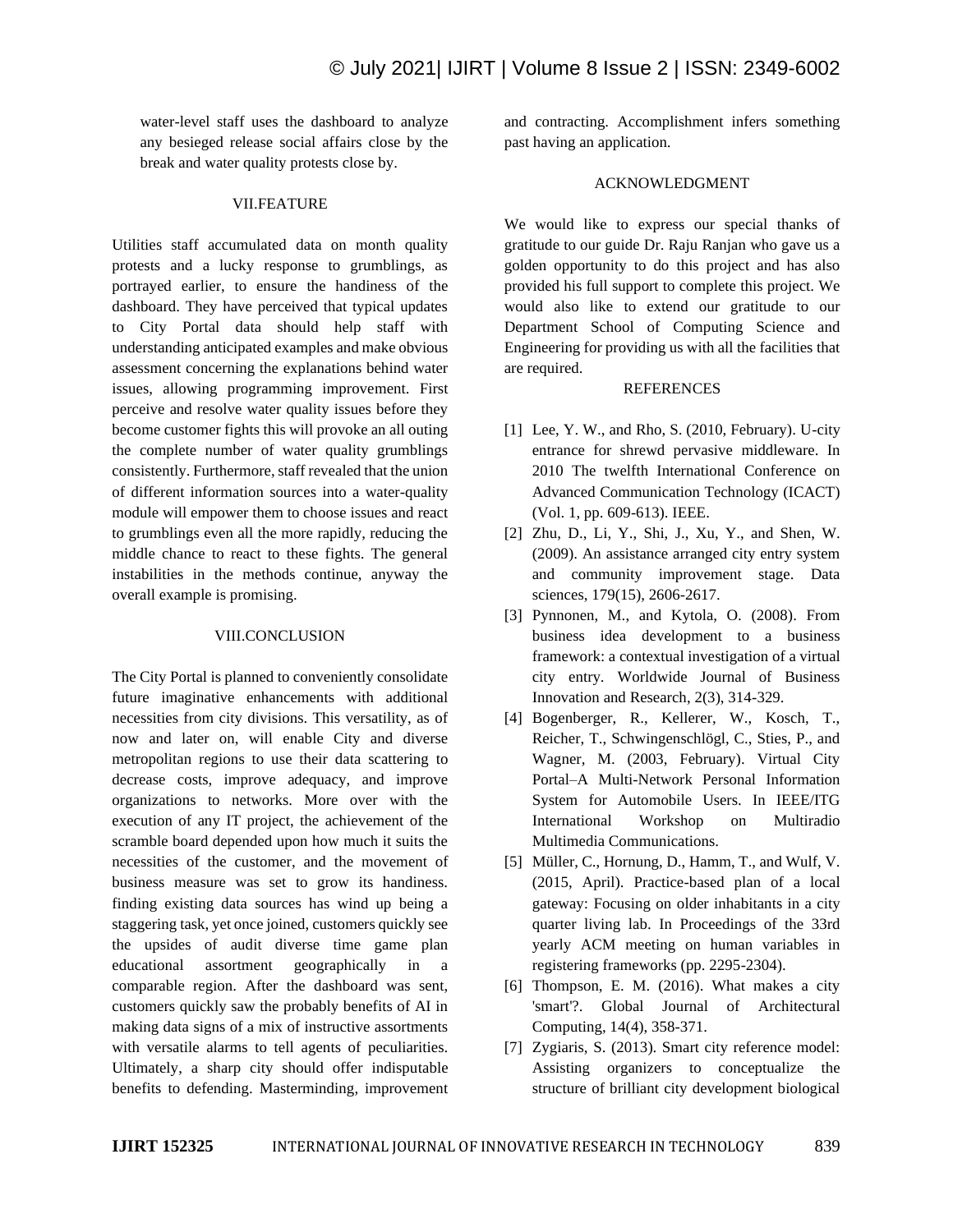water-level staff uses the dashboard to analyze any besieged release social affairs close by the break and water quality protests close by.

### VII.FEATURE

Utilities staff accumulated data on month quality protests and a lucky response to grumblings, as portrayed earlier, to ensure the handiness of the dashboard. They have perceived that typical updates to City Portal data should help staff with understanding anticipated examples and make obvious assessment concerning the explanations behind water issues, allowing programming improvement. First perceive and resolve water quality issues before they become customer fights this will provoke an all outing the complete number of water quality grumblings consistently. Furthermore, staff revealed that the union of different information sources into a water-quality module will empower them to choose issues and react to grumblings even all the more rapidly, reducing the middle chance to react to these fights. The general instabilities in the methods continue, anyway the overall example is promising.

# VIII.CONCLUSION

The City Portal is planned to conveniently consolidate future imaginative enhancements with additional necessities from city divisions. This versatility, as of now and later on, will enable City and diverse metropolitan regions to use their data scattering to decrease costs, improve adequacy, and improve organizations to networks. More over with the execution of any IT project, the achievement of the scramble board depended upon how much it suits the necessities of the customer, and the movement of business measure was set to grow its handiness. finding existing data sources has wind up being a staggering task, yet once joined, customers quickly see the upsides of audit diverse time game plan educational assortment geographically in comparable region. After the dashboard was sent, customers quickly saw the probably benefits of AI in making data signs of a mix of instructive assortments with versatile alarms to tell agents of peculiarities. Ultimately, a sharp city should offer indisputable benefits to defending. Masterminding, improvement and contracting. Accomplishment infers something past having an application.

## ACKNOWLEDGMENT

We would like to express our special thanks of gratitude to our guide Dr. Raju Ranjan who gave us a golden opportunity to do this project and has also provided his full support to complete this project. We would also like to extend our gratitude to our Department School of Computing Science and Engineering for providing us with all the facilities that are required.

# REFERENCES

- [1] Lee, Y. W., and Rho, S. (2010, February). U-city entrance for shrewd pervasive middleware. In 2010 The twelfth International Conference on Advanced Communication Technology (ICACT) (Vol. 1, pp. 609-613). IEEE.
- [2] Zhu, D., Li, Y., Shi, J., Xu, Y., and Shen, W. (2009). An assistance arranged city entry system and community improvement stage. Data sciences, 179(15), 2606-2617.
- [3] Pynnonen, M., and Kytola, O. (2008). From business idea development to a business framework: a contextual investigation of a virtual city entry. Worldwide Journal of Business Innovation and Research, 2(3), 314-329.
- [4] Bogenberger, R., Kellerer, W., Kosch, T., Reicher, T., Schwingenschlögl, C., Sties, P., and Wagner, M. (2003, February). Virtual City Portal–A Multi-Network Personal Information System for Automobile Users. In IEEE/ITG International Workshop on Multiradio Multimedia Communications.
- [5] Müller, C., Hornung, D., Hamm, T., and Wulf, V. (2015, April). Practice-based plan of a local gateway: Focusing on older inhabitants in a city quarter living lab. In Proceedings of the 33rd yearly ACM meeting on human variables in registering frameworks (pp. 2295-2304).
- [6] Thompson, E. M. (2016). What makes a city 'smart'?. Global Journal of Architectural Computing, 14(4), 358-371.
- [7] Zygiaris, S. (2013). Smart city reference model: Assisting organizers to conceptualize the structure of brilliant city development biological